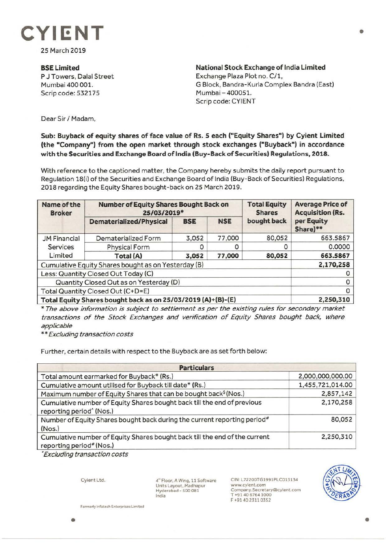

25 March 2019

**BSELimited**  P J Towers, Dalal Street Mumbai 400 001. Scrip code: 532175

**National Stock Exchange of India Limited** Exchange Plaza Plot no. C/1, G Block, Bandra-Kurla Complex Sandra (East) Mumbai-400051. Scrip code: CYIENT

Dear Sir/ Madam,

## **Sub: Buyback of equity shares of face value of Rs. 5 each ("Equity Shares") by Cyient Limited (the "Company") from the open market through stock exchanges ("Buyback") in accordance with the Securities and Exchange Board of India (Buy-Back of Securities) Regulations, 2018.**

With reference to the captioned matter, the Company hereby submits the daily report pursuant to Regulation 18(i) of the Securities and Exchange Board of India (Buy-Back of Securities) Regulations, 2018 regarding the Equity Shares bought-back on 25 March 2019.

| Name of the<br><b>Broker</b>                                 | <b>Number of Equity Shares Bought Back on</b><br>25/03/2019* |            |            | <b>Total Equity</b><br><b>Shares</b> | <b>Average Price of</b><br><b>Acquisition (Rs.</b> |
|--------------------------------------------------------------|--------------------------------------------------------------|------------|------------|--------------------------------------|----------------------------------------------------|
|                                                              | <b>Dematerialized/Physical</b>                               | <b>BSE</b> | <b>NSE</b> | bought back                          | per Equity<br>Share)**                             |
| <b>JM Financial</b><br>Services<br>Limited                   | Dematerialized Form                                          | 3,052      | 77,000     | 80,052                               | 663.5867                                           |
|                                                              | <b>Physical Form</b>                                         |            | O          | 0                                    | 0.0000                                             |
|                                                              | Total (A)                                                    | 3,052      | 77,000     | 80,052                               | 663.5867                                           |
| Cumulative Equity Shares bought as on Yesterday (B)          |                                                              |            |            |                                      | 2,170,258                                          |
| Less: Quantity Closed Out Today (C)                          |                                                              |            |            |                                      |                                                    |
| Quantity Closed Out as on Yesterday (D)                      |                                                              |            |            |                                      |                                                    |
| Total Quantity Closed Out (C+D=E)                            |                                                              |            |            |                                      |                                                    |
| Total Equity Shares bought back as on 25/03/2019 (A)+(B)-(E) |                                                              |            |            |                                      | 2,250,310                                          |

\* The above information is subject to settlement as per the existing rules for secondary market transactions of the Stock Exchanges and verification of Equity Shares bought back, where applicable

\*\* Excluding transaction costs

Further, certain details with respect to the Buyback are as set forth below:

| <b>Particulars</b>                                                                                              |                  |  |  |  |
|-----------------------------------------------------------------------------------------------------------------|------------------|--|--|--|
| Total amount earmarked for Buyback* (Rs.)                                                                       | 2,000,000,000.00 |  |  |  |
| Cumulative amount utilised for Buyback till date* (Rs.)                                                         | 1,455,721,014.00 |  |  |  |
| Maximum number of Equity Shares that can be bought back <sup>\$</sup> (Nos.)                                    | 2,857,142        |  |  |  |
| Cumulative number of Equity Shares bought back till the end of previous<br>reporting period <sup>^</sup> (Nos.) | 2,170,258        |  |  |  |
| Number of Equity Shares bought back during the current reporting period#<br>(Nos.)                              | 80,052           |  |  |  |
| Cumulative number of Equity Shares bought back till the end of the current<br>reporting period# (Nos.)          | 2,250,310        |  |  |  |

• Excluding transaction costs

Cyient Ltd.

4"' Floor, A Wing, 11 Software Units Layout, Madhapur Hyderabad- 500081 India

CIN:L72200TG1991PLC013134 www.cyient.com **Company.Secretary®cyient..com**  T +914067641000 F +91 40 23110352



•

**Formerly Infotech Enterprises Limited**